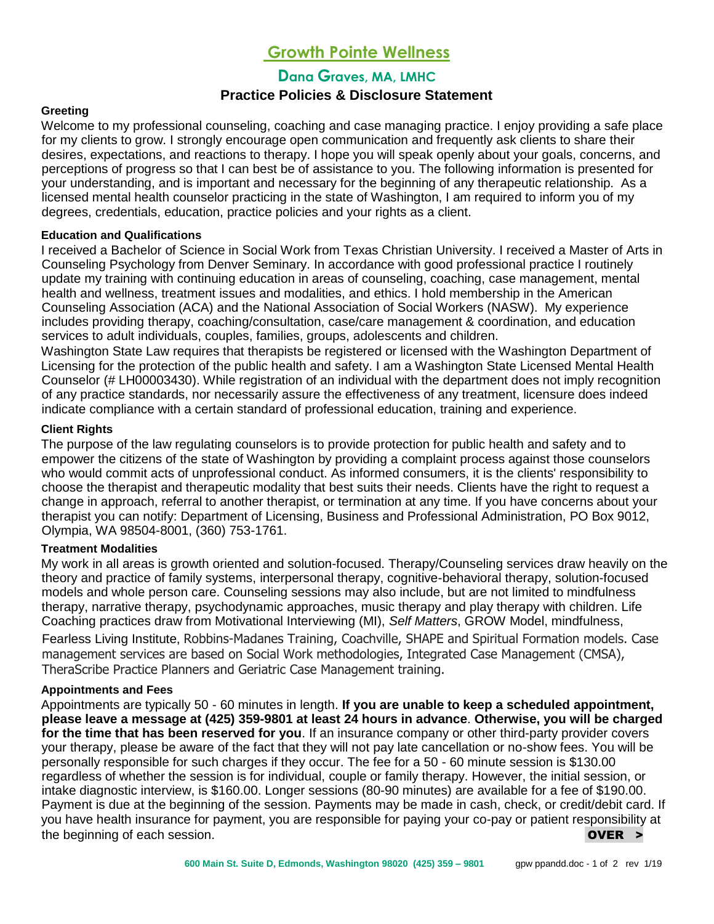# **Growth Pointe Wellness**

# **Dana Graves, MA, LMHC**

# **Practice Policies & Disclosure Statement**

# **Greeting**

Welcome to my professional counseling, coaching and case managing practice. I enjoy providing a safe place for my clients to grow. I strongly encourage open communication and frequently ask clients to share their desires, expectations, and reactions to therapy. I hope you will speak openly about your goals, concerns, and perceptions of progress so that I can best be of assistance to you. The following information is presented for your understanding, and is important and necessary for the beginning of any therapeutic relationship. As a licensed mental health counselor practicing in the state of Washington, I am required to inform you of my degrees, credentials, education, practice policies and your rights as a client.

# **Education and Qualifications**

I received a Bachelor of Science in Social Work from Texas Christian University. I received a Master of Arts in Counseling Psychology from Denver Seminary. In accordance with good professional practice I routinely update my training with continuing education in areas of counseling, coaching, case management, mental health and wellness, treatment issues and modalities, and ethics. I hold membership in the American Counseling Association (ACA) and the National Association of Social Workers (NASW). My experience includes providing therapy, coaching/consultation, case/care management & coordination, and education services to adult individuals, couples, families, groups, adolescents and children.

Washington State Law requires that therapists be registered or licensed with the Washington Department of Licensing for the protection of the public health and safety. I am a Washington State Licensed Mental Health Counselor (# LH00003430). While registration of an individual with the department does not imply recognition of any practice standards, nor necessarily assure the effectiveness of any treatment, licensure does indeed indicate compliance with a certain standard of professional education, training and experience.

# **Client Rights**

The purpose of the law regulating counselors is to provide protection for public health and safety and to empower the citizens of the state of Washington by providing a complaint process against those counselors who would commit acts of unprofessional conduct. As informed consumers, it is the clients' responsibility to choose the therapist and therapeutic modality that best suits their needs. Clients have the right to request a change in approach, referral to another therapist, or termination at any time. If you have concerns about your therapist you can notify: Department of Licensing, Business and Professional Administration, PO Box 9012, Olympia, WA 98504-8001, (360) 753-1761.

# **Treatment Modalities**

My work in all areas is growth oriented and solution-focused. Therapy/Counseling services draw heavily on the theory and practice of family systems, interpersonal therapy, cognitive-behavioral therapy, solution-focused models and whole person care. Counseling sessions may also include, but are not limited to mindfulness therapy, narrative therapy, psychodynamic approaches, music therapy and play therapy with children. Life Coaching practices draw from Motivational Interviewing (MI), *Self Matters*, GROW Model, mindfulness, Fearless Living Institute, Robbins-Madanes Training, Coachville, SHAPE and Spiritual Formation models. Case management services are based on Social Work methodologies, Integrated Case Management (CMSA), TheraScribe Practice Planners and Geriatric Case Management training.

#### **Appointments and Fees**

Appointments are typically 50 - 60 minutes in length. **If you are unable to keep a scheduled appointment, please leave a message at (425) 359-9801 at least 24 hours in advance**. **Otherwise, you will be charged for the time that has been reserved for you**. If an insurance company or other third-party provider covers your therapy, please be aware of the fact that they will not pay late cancellation or no-show fees. You will be personally responsible for such charges if they occur. The fee for a 50 - 60 minute session is \$130.00 regardless of whether the session is for individual, couple or family therapy. However, the initial session, or intake diagnostic interview, is \$160.00. Longer sessions (80-90 minutes) are available for a fee of \$190.00. Payment is due at the beginning of the session. Payments may be made in cash, check, or credit/debit card. If you have health insurance for payment, you are responsible for paying your co-pay or patient responsibility at the beginning of each session.  $\bullet$  and  $\bullet$  and  $\bullet$  and  $\bullet$  over  $\bullet$  and  $\bullet$  over  $\bullet$  and  $\bullet$  over  $\bullet$